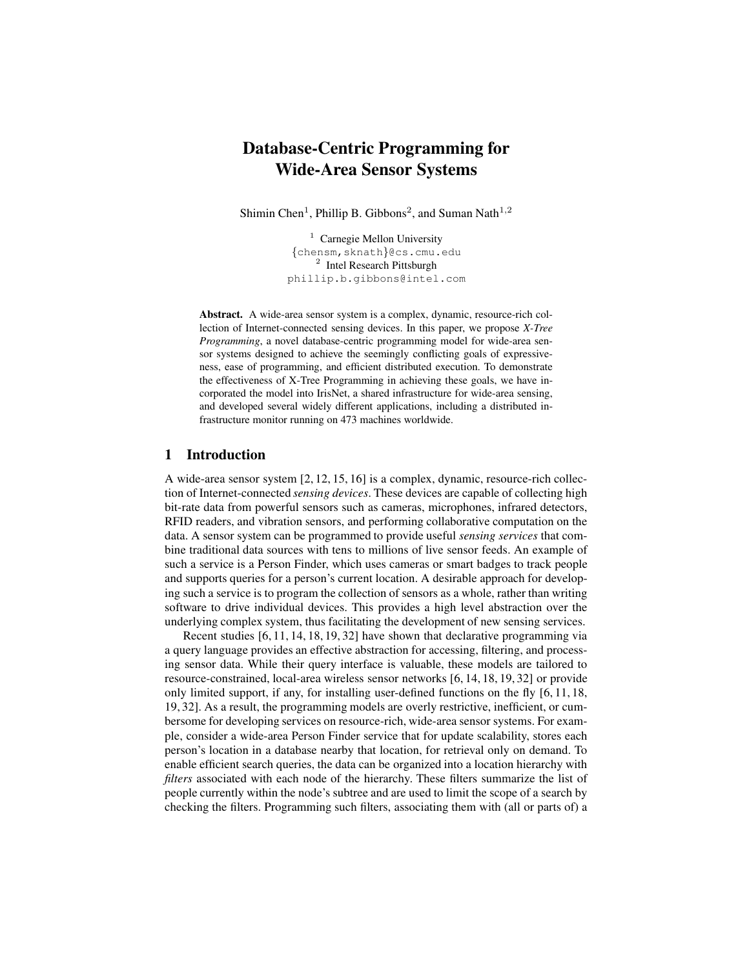# **Database-Centric Programming for Wide-Area Sensor Systems**

Shimin Chen<sup>1</sup>, Phillip B. Gibbons<sup>2</sup>, and Suman Nath<sup>1,2</sup>

<sup>1</sup> Carnegie Mellon University {chensm,sknath}@cs.cmu.edu 2 Intel Research Pittsburgh phillip.b.gibbons@intel.com

**Abstract.** A wide-area sensor system is a complex, dynamic, resource-rich collection of Internet-connected sensing devices. In this paper, we propose *X-Tree Programming*, a novel database-centric programming model for wide-area sensor systems designed to achieve the seemingly conflicting goals of expressiveness, ease of programming, and efficient distributed execution. To demonstrate the effectiveness of X-Tree Programming in achieving these goals, we have incorporated the model into IrisNet, a shared infrastructure for wide-area sensing, and developed several widely different applications, including a distributed infrastructure monitor running on 473 machines worldwide.

### **1 Introduction**

A wide-area sensor system [2, 12, 15, 16] is a complex, dynamic, resource-rich collection of Internet-connected *sensing devices*. These devices are capable of collecting high bit-rate data from powerful sensors such as cameras, microphones, infrared detectors, RFID readers, and vibration sensors, and performing collaborative computation on the data. A sensor system can be programmed to provide useful *sensing services* that combine traditional data sources with tens to millions of live sensor feeds. An example of such a service is a Person Finder, which uses cameras or smart badges to track people and supports queries for a person's current location. A desirable approach for developing such a service is to program the collection of sensors as a whole, rather than writing software to drive individual devices. This provides a high level abstraction over the underlying complex system, thus facilitating the development of new sensing services.

Recent studies [6, 11, 14, 18, 19, 32] have shown that declarative programming via a query language provides an effective abstraction for accessing, filtering, and processing sensor data. While their query interface is valuable, these models are tailored to resource-constrained, local-area wireless sensor networks [6, 14, 18, 19, 32] or provide only limited support, if any, for installing user-defined functions on the fly [6, 11, 18, 19, 32]. As a result, the programming models are overly restrictive, inefficient, or cumbersome for developing services on resource-rich, wide-area sensor systems. For example, consider a wide-area Person Finder service that for update scalability, stores each person's location in a database nearby that location, for retrieval only on demand. To enable efficient search queries, the data can be organized into a location hierarchy with *filters* associated with each node of the hierarchy. These filters summarize the list of people currently within the node's subtree and are used to limit the scope of a search by checking the filters. Programming such filters, associating them with (all or parts of) a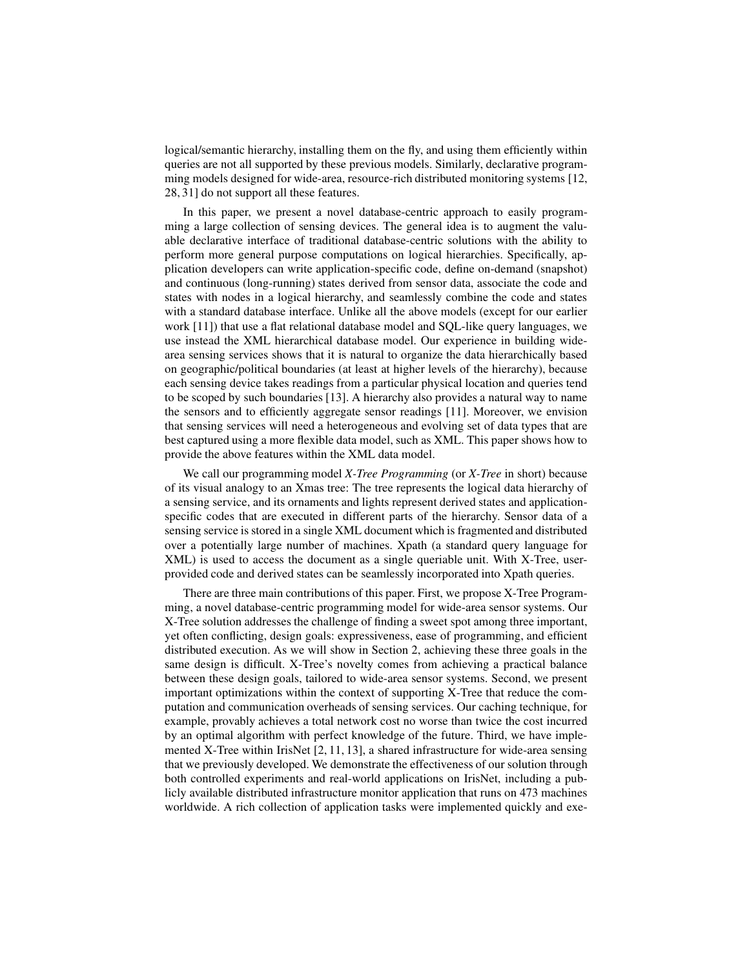logical/semantic hierarchy, installing them on the fly, and using them efficiently within queries are not all supported by these previous models. Similarly, declarative programming models designed for wide-area, resource-rich distributed monitoring systems [12, 28, 31] do not support all these features.

In this paper, we present a novel database-centric approach to easily programming a large collection of sensing devices. The general idea is to augment the valuable declarative interface of traditional database-centric solutions with the ability to perform more general purpose computations on logical hierarchies. Specifically, application developers can write application-specific code, define on-demand (snapshot) and continuous (long-running) states derived from sensor data, associate the code and states with nodes in a logical hierarchy, and seamlessly combine the code and states with a standard database interface. Unlike all the above models (except for our earlier work [11]) that use a flat relational database model and SQL-like query languages, we use instead the XML hierarchical database model. Our experience in building widearea sensing services shows that it is natural to organize the data hierarchically based on geographic/political boundaries (at least at higher levels of the hierarchy), because each sensing device takes readings from a particular physical location and queries tend to be scoped by such boundaries [13]. A hierarchy also provides a natural way to name the sensors and to efficiently aggregate sensor readings [11]. Moreover, we envision that sensing services will need a heterogeneous and evolving set of data types that are best captured using a more flexible data model, such as XML. This paper shows how to provide the above features within the XML data model.

We call our programming model *X-Tree Programming* (or *X-Tree* in short) because of its visual analogy to an Xmas tree: The tree represents the logical data hierarchy of a sensing service, and its ornaments and lights represent derived states and applicationspecific codes that are executed in different parts of the hierarchy. Sensor data of a sensing service is stored in a single XML document which is fragmented and distributed over a potentially large number of machines. Xpath (a standard query language for XML) is used to access the document as a single queriable unit. With X-Tree, userprovided code and derived states can be seamlessly incorporated into Xpath queries.

There are three main contributions of this paper. First, we propose X-Tree Programming, a novel database-centric programming model for wide-area sensor systems. Our X-Tree solution addresses the challenge of finding a sweet spot among three important, yet often conflicting, design goals: expressiveness, ease of programming, and efficient distributed execution. As we will show in Section 2, achieving these three goals in the same design is difficult. X-Tree's novelty comes from achieving a practical balance between these design goals, tailored to wide-area sensor systems. Second, we present important optimizations within the context of supporting X-Tree that reduce the computation and communication overheads of sensing services. Our caching technique, for example, provably achieves a total network cost no worse than twice the cost incurred by an optimal algorithm with perfect knowledge of the future. Third, we have implemented X-Tree within IrisNet [2, 11, 13], a shared infrastructure for wide-area sensing that we previously developed. We demonstrate the effectiveness of our solution through both controlled experiments and real-world applications on IrisNet, including a publicly available distributed infrastructure monitor application that runs on 473 machines worldwide. A rich collection of application tasks were implemented quickly and exe-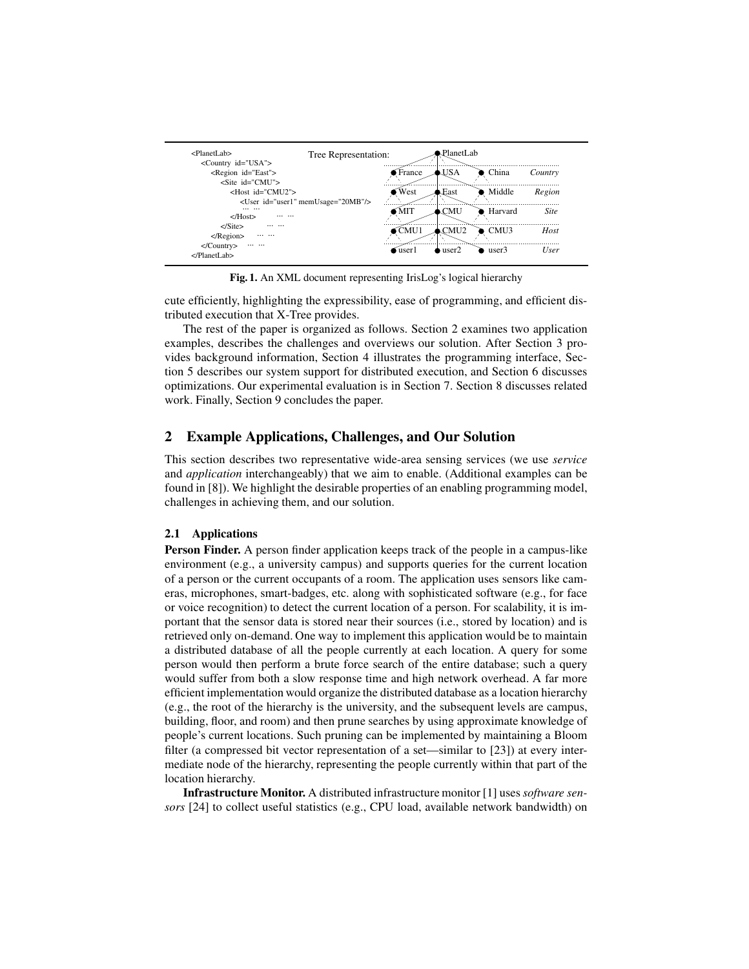| <planetlab><br/><country id="USA"></country></planetlab>               | Tree Representation: |                      | •PlanetLab              |                |             |
|------------------------------------------------------------------------|----------------------|----------------------|-------------------------|----------------|-------------|
| <region id="East"><br/><math>\leq</math>Site id="CMU"&gt;</region>     |                      | ≸ France             | USA                     | China          | Country     |
| $\epsilon$ Host id="CMU2"><br><user id="user1" memusage="20MB"></user> |                      | .<br>■West           | East                    | Middle         | Region      |
| $\cdots$<br>$<$ /Host $>$<br>                                          |                      | $\blacksquare$<br>.  | $\mathsf{LCMU}$         | Harvard        | <b>Site</b> |
| $\langle$ Site><br><br>$<$ /Region $>$<br>                             |                      | $\epsilon$ CMU1<br>. | $\mathbb{C}$ MU2        | $\bullet$ CMU3 | Host        |
| $\langle$ /Country><br>$\cdots$<br>                                    |                      | user l               | $\blacksquare$ user $2$ | user3          | User        |

**Fig. 1.** An XML document representing IrisLog's logical hierarchy

cute efficiently, highlighting the expressibility, ease of programming, and efficient distributed execution that X-Tree provides.

The rest of the paper is organized as follows. Section 2 examines two application examples, describes the challenges and overviews our solution. After Section 3 provides background information, Section 4 illustrates the programming interface, Section 5 describes our system support for distributed execution, and Section 6 discusses optimizations. Our experimental evaluation is in Section 7. Section 8 discusses related work. Finally, Section 9 concludes the paper.

# **2 Example Applications, Challenges, and Our Solution**

This section describes two representative wide-area sensing services (we use *service* and *application* interchangeably) that we aim to enable. (Additional examples can be found in [8]). We highlight the desirable properties of an enabling programming model, challenges in achieving them, and our solution.

### **2.1 Applications**

**Person Finder.** A person finder application keeps track of the people in a campus-like environment (e.g., a university campus) and supports queries for the current location of a person or the current occupants of a room. The application uses sensors like cameras, microphones, smart-badges, etc. along with sophisticated software (e.g., for face or voice recognition) to detect the current location of a person. For scalability, it is important that the sensor data is stored near their sources (i.e., stored by location) and is retrieved only on-demand. One way to implement this application would be to maintain a distributed database of all the people currently at each location. A query for some person would then perform a brute force search of the entire database; such a query would suffer from both a slow response time and high network overhead. A far more efficient implementation would organize the distributed database as a location hierarchy (e.g., the root of the hierarchy is the university, and the subsequent levels are campus, building, floor, and room) and then prune searches by using approximate knowledge of people's current locations. Such pruning can be implemented by maintaining a Bloom filter (a compressed bit vector representation of a set—similar to [23]) at every intermediate node of the hierarchy, representing the people currently within that part of the location hierarchy.

**Infrastructure Monitor.** A distributed infrastructure monitor [1] uses *software sensors* [24] to collect useful statistics (e.g., CPU load, available network bandwidth) on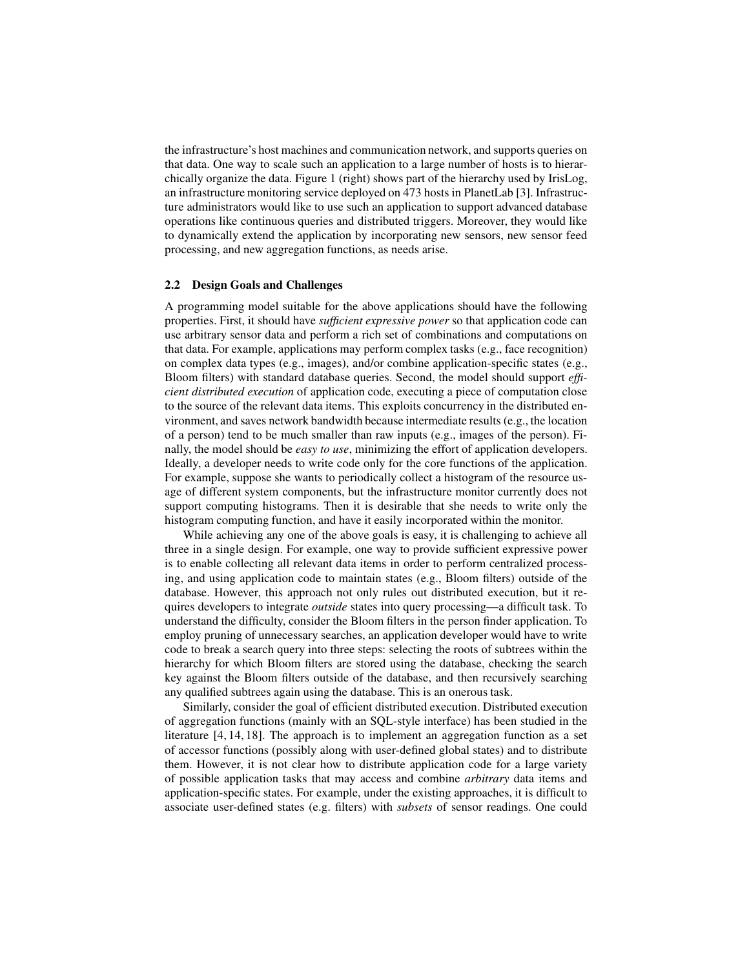the infrastructure's host machines and communication network, and supports queries on that data. One way to scale such an application to a large number of hosts is to hierarchically organize the data. Figure 1 (right) shows part of the hierarchy used by IrisLog, an infrastructure monitoring service deployed on 473 hosts in PlanetLab [3]. Infrastructure administrators would like to use such an application to support advanced database operations like continuous queries and distributed triggers. Moreover, they would like to dynamically extend the application by incorporating new sensors, new sensor feed processing, and new aggregation functions, as needs arise.

#### **2.2 Design Goals and Challenges**

A programming model suitable for the above applications should have the following properties. First, it should have *sufficient expressive power* so that application code can use arbitrary sensor data and perform a rich set of combinations and computations on that data. For example, applications may perform complex tasks (e.g., face recognition) on complex data types (e.g., images), and/or combine application-specific states (e.g., Bloom filters) with standard database queries. Second, the model should support *efficient distributed execution* of application code, executing a piece of computation close to the source of the relevant data items. This exploits concurrency in the distributed environment, and saves network bandwidth because intermediate results (e.g., the location of a person) tend to be much smaller than raw inputs (e.g., images of the person). Finally, the model should be *easy to use*, minimizing the effort of application developers. Ideally, a developer needs to write code only for the core functions of the application. For example, suppose she wants to periodically collect a histogram of the resource usage of different system components, but the infrastructure monitor currently does not support computing histograms. Then it is desirable that she needs to write only the histogram computing function, and have it easily incorporated within the monitor.

While achieving any one of the above goals is easy, it is challenging to achieve all three in a single design. For example, one way to provide sufficient expressive power is to enable collecting all relevant data items in order to perform centralized processing, and using application code to maintain states (e.g., Bloom filters) outside of the database. However, this approach not only rules out distributed execution, but it requires developers to integrate *outside* states into query processing—a difficult task. To understand the difficulty, consider the Bloom filters in the person finder application. To employ pruning of unnecessary searches, an application developer would have to write code to break a search query into three steps: selecting the roots of subtrees within the hierarchy for which Bloom filters are stored using the database, checking the search key against the Bloom filters outside of the database, and then recursively searching any qualified subtrees again using the database. This is an onerous task.

Similarly, consider the goal of efficient distributed execution. Distributed execution of aggregation functions (mainly with an SQL-style interface) has been studied in the literature [4, 14, 18]. The approach is to implement an aggregation function as a set of accessor functions (possibly along with user-defined global states) and to distribute them. However, it is not clear how to distribute application code for a large variety of possible application tasks that may access and combine *arbitrary* data items and application-specific states. For example, under the existing approaches, it is difficult to associate user-defined states (e.g. filters) with *subsets* of sensor readings. One could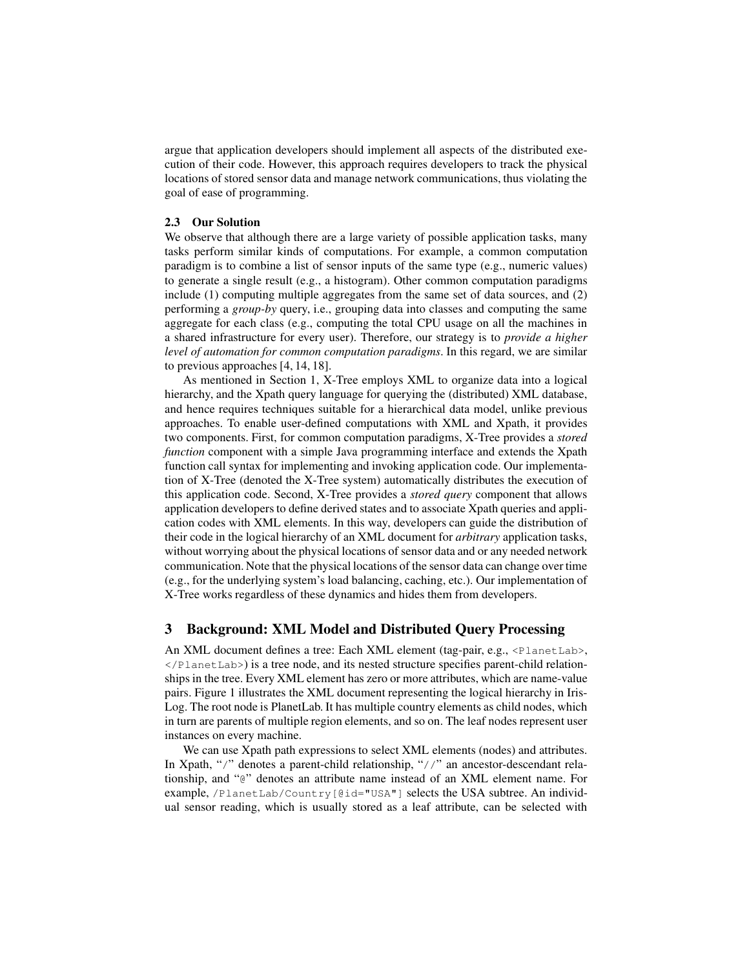argue that application developers should implement all aspects of the distributed execution of their code. However, this approach requires developers to track the physical locations of stored sensor data and manage network communications, thus violating the goal of ease of programming.

### **2.3 Our Solution**

We observe that although there are a large variety of possible application tasks, many tasks perform similar kinds of computations. For example, a common computation paradigm is to combine a list of sensor inputs of the same type (e.g., numeric values) to generate a single result (e.g., a histogram). Other common computation paradigms include (1) computing multiple aggregates from the same set of data sources, and (2) performing a *group-by* query, i.e., grouping data into classes and computing the same aggregate for each class (e.g., computing the total CPU usage on all the machines in a shared infrastructure for every user). Therefore, our strategy is to *provide a higher level of automation for common computation paradigms*. In this regard, we are similar to previous approaches [4, 14, 18].

As mentioned in Section 1, X-Tree employs XML to organize data into a logical hierarchy, and the Xpath query language for querying the (distributed) XML database, and hence requires techniques suitable for a hierarchical data model, unlike previous approaches. To enable user-defined computations with XML and Xpath, it provides two components. First, for common computation paradigms, X-Tree provides a *stored function* component with a simple Java programming interface and extends the Xpath function call syntax for implementing and invoking application code. Our implementation of X-Tree (denoted the X-Tree system) automatically distributes the execution of this application code. Second, X-Tree provides a *stored query* component that allows application developers to define derived states and to associate Xpath queries and application codes with XML elements. In this way, developers can guide the distribution of their code in the logical hierarchy of an XML document for *arbitrary* application tasks, without worrying about the physical locations of sensor data and or any needed network communication. Note that the physical locations of the sensor data can change over time (e.g., for the underlying system's load balancing, caching, etc.). Our implementation of X-Tree works regardless of these dynamics and hides them from developers.

### **3 Background: XML Model and Distributed Query Processing**

An XML document defines a tree: Each XML element (tag-pair, e.g., <PlanetLab>, </PlanetLab>) is a tree node, and its nested structure specifies parent-child relationships in the tree. Every XML element has zero or more attributes, which are name-value pairs. Figure 1 illustrates the XML document representing the logical hierarchy in Iris-Log. The root node is PlanetLab. It has multiple country elements as child nodes, which in turn are parents of multiple region elements, and so on. The leaf nodes represent user instances on every machine.

We can use Xpath path expressions to select XML elements (nodes) and attributes. In Xpath, "/" denotes a parent-child relationship, "//" an ancestor-descendant relationship, and "@" denotes an attribute name instead of an XML element name. For example, /PlanetLab/Country[@id="USA"] selects the USA subtree. An individual sensor reading, which is usually stored as a leaf attribute, can be selected with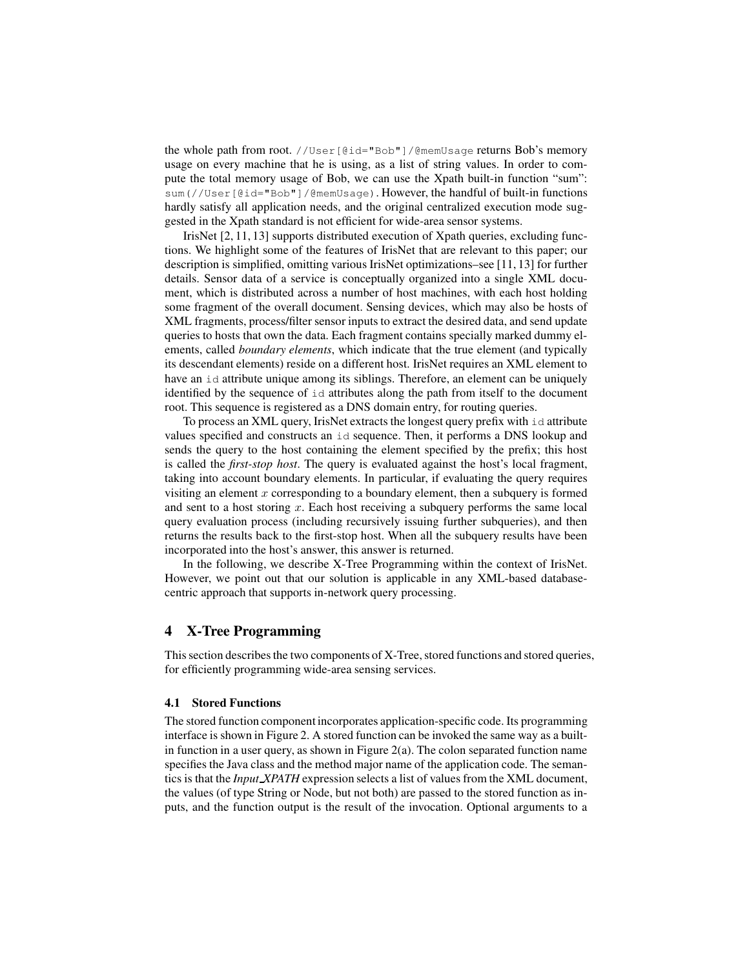the whole path from root. //User[@id="Bob"]/@memUsage returns Bob's memory usage on every machine that he is using, as a list of string values. In order to compute the total memory usage of Bob, we can use the Xpath built-in function "sum": sum(//User[@id="Bob"]/@memUsage). However, the handful of built-in functions hardly satisfy all application needs, and the original centralized execution mode suggested in the Xpath standard is not efficient for wide-area sensor systems.

IrisNet [2, 11, 13] supports distributed execution of Xpath queries, excluding functions. We highlight some of the features of IrisNet that are relevant to this paper; our description is simplified, omitting various IrisNet optimizations–see [11, 13] for further details. Sensor data of a service is conceptually organized into a single XML document, which is distributed across a number of host machines, with each host holding some fragment of the overall document. Sensing devices, which may also be hosts of XML fragments, process/filter sensor inputs to extract the desired data, and send update queries to hosts that own the data. Each fragment contains specially marked dummy elements, called *boundary elements*, which indicate that the true element (and typically its descendant elements) reside on a different host. IrisNet requires an XML element to have an id attribute unique among its siblings. Therefore, an element can be uniquely identified by the sequence of  $\pm d$  attributes along the path from itself to the document root. This sequence is registered as a DNS domain entry, for routing queries.

To process an XML query, IrisNet extracts the longest query prefix with  $\pm \Delta$  attribute values specified and constructs an id sequence. Then, it performs a DNS lookup and sends the query to the host containing the element specified by the prefix; this host is called the *first-stop host*. The query is evaluated against the host's local fragment, taking into account boundary elements. In particular, if evaluating the query requires visiting an element  $x$  corresponding to a boundary element, then a subquery is formed and sent to a host storing  $x$ . Each host receiving a subquery performs the same local query evaluation process (including recursively issuing further subqueries), and then returns the results back to the first-stop host. When all the subquery results have been incorporated into the host's answer, this answer is returned.

In the following, we describe X-Tree Programming within the context of IrisNet. However, we point out that our solution is applicable in any XML-based databasecentric approach that supports in-network query processing.

### **4 X-Tree Programming**

This section describes the two components of X-Tree, stored functions and stored queries, for efficiently programming wide-area sensing services.

#### **4.1 Stored Functions**

The stored function component incorporates application-specific code. Its programming interface is shown in Figure 2. A stored function can be invoked the same way as a builtin function in a user query, as shown in Figure 2(a). The colon separated function name specifies the Java class and the method major name of the application code. The semantics is that the *Input XPATH* expression selects a list of values from the XML document, the values (of type String or Node, but not both) are passed to the stored function as inputs, and the function output is the result of the invocation. Optional arguments to a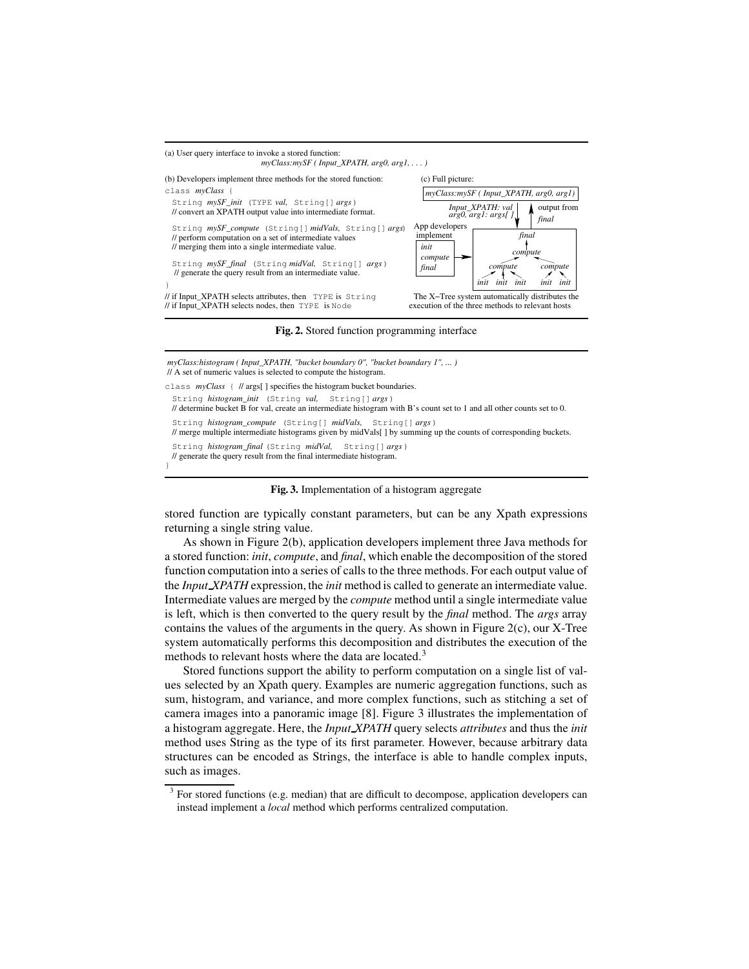

**Fig. 2.** Stored function programming interface

| $myClass: histogram(Input XPATH, "bucket boundary 0", "bucket boundary 1",  )$<br>// A set of numeric values is selected to compute the histogram.                            |  |  |  |  |  |  |
|-------------------------------------------------------------------------------------------------------------------------------------------------------------------------------|--|--|--|--|--|--|
| class $myClass$ { $// args[] specifies the histogram bucket boundaries.$                                                                                                      |  |  |  |  |  |  |
| String histogram init (String val, String[] args)<br>// determine bucket B for val, create an intermediate histogram with B's count set to 1 and all other counts set to 0.   |  |  |  |  |  |  |
| String histogram compute (String[] midVals, String[] args)<br>// merge multiple intermediate histograms given by midVals   by summing up the counts of corresponding buckets. |  |  |  |  |  |  |
| String <i>histogram final</i> (String <i>midVal</i> , String[] <i>args</i> )<br>// generate the query result from the final intermediate histogram.                           |  |  |  |  |  |  |
|                                                                                                                                                                               |  |  |  |  |  |  |
|                                                                                                                                                                               |  |  |  |  |  |  |

**Fig. 3.** Implementation of a histogram aggregate

stored function are typically constant parameters, but can be any Xpath expressions returning a single string value.

As shown in Figure 2(b), application developers implement three Java methods for a stored function: *init*, *compute*, and *final*, which enable the decomposition of the stored function computation into a series of calls to the three methods. For each output value of the *Input XPATH* expression, the *init* method is called to generate an intermediate value. Intermediate values are merged by the *compute* method until a single intermediate value is left, which is then converted to the query result by the *final* method. The *args* array contains the values of the arguments in the query. As shown in Figure  $2(c)$ , our X-Tree system automatically performs this decomposition and distributes the execution of the methods to relevant hosts where the data are located.<sup>3</sup>

Stored functions support the ability to perform computation on a single list of values selected by an Xpath query. Examples are numeric aggregation functions, such as sum, histogram, and variance, and more complex functions, such as stitching a set of camera images into a panoramic image [8]. Figure 3 illustrates the implementation of a histogram aggregate. Here, the *Input XPATH* query selects *attributes* and thus the *init* method uses String as the type of its first parameter. However, because arbitrary data structures can be encoded as Strings, the interface is able to handle complex inputs, such as images.

 $3$  For stored functions (e.g. median) that are difficult to decompose, application developers can instead implement a *local* method which performs centralized computation.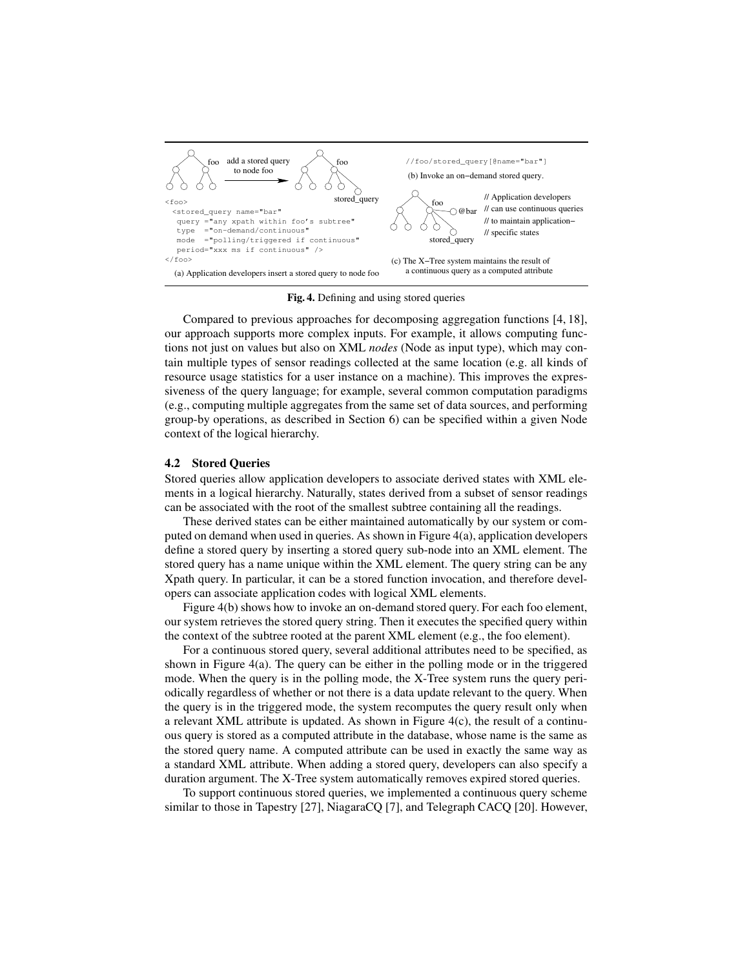

**Fig. 4.** Defining and using stored queries

Compared to previous approaches for decomposing aggregation functions [4, 18], our approach supports more complex inputs. For example, it allows computing functions not just on values but also on XML *nodes* (Node as input type), which may contain multiple types of sensor readings collected at the same location (e.g. all kinds of resource usage statistics for a user instance on a machine). This improves the expressiveness of the query language; for example, several common computation paradigms (e.g., computing multiple aggregates from the same set of data sources, and performing group-by operations, as described in Section 6) can be specified within a given Node context of the logical hierarchy.

### **4.2 Stored Queries**

Stored queries allow application developers to associate derived states with XML elements in a logical hierarchy. Naturally, states derived from a subset of sensor readings can be associated with the root of the smallest subtree containing all the readings.

These derived states can be either maintained automatically by our system or computed on demand when used in queries. As shown in Figure  $4(a)$ , application developers define a stored query by inserting a stored query sub-node into an XML element. The stored query has a name unique within the XML element. The query string can be any Xpath query. In particular, it can be a stored function invocation, and therefore developers can associate application codes with logical XML elements.

Figure 4(b) shows how to invoke an on-demand stored query. For each foo element, our system retrieves the stored query string. Then it executes the specified query within the context of the subtree rooted at the parent XML element (e.g., the foo element).

For a continuous stored query, several additional attributes need to be specified, as shown in Figure  $4(a)$ . The query can be either in the polling mode or in the triggered mode. When the query is in the polling mode, the X-Tree system runs the query periodically regardless of whether or not there is a data update relevant to the query. When the query is in the triggered mode, the system recomputes the query result only when a relevant XML attribute is updated. As shown in Figure  $4(c)$ , the result of a continuous query is stored as a computed attribute in the database, whose name is the same as the stored query name. A computed attribute can be used in exactly the same way as a standard XML attribute. When adding a stored query, developers can also specify a duration argument. The X-Tree system automatically removes expired stored queries.

To support continuous stored queries, we implemented a continuous query scheme similar to those in Tapestry [27], NiagaraCQ [7], and Telegraph CACQ [20]. However,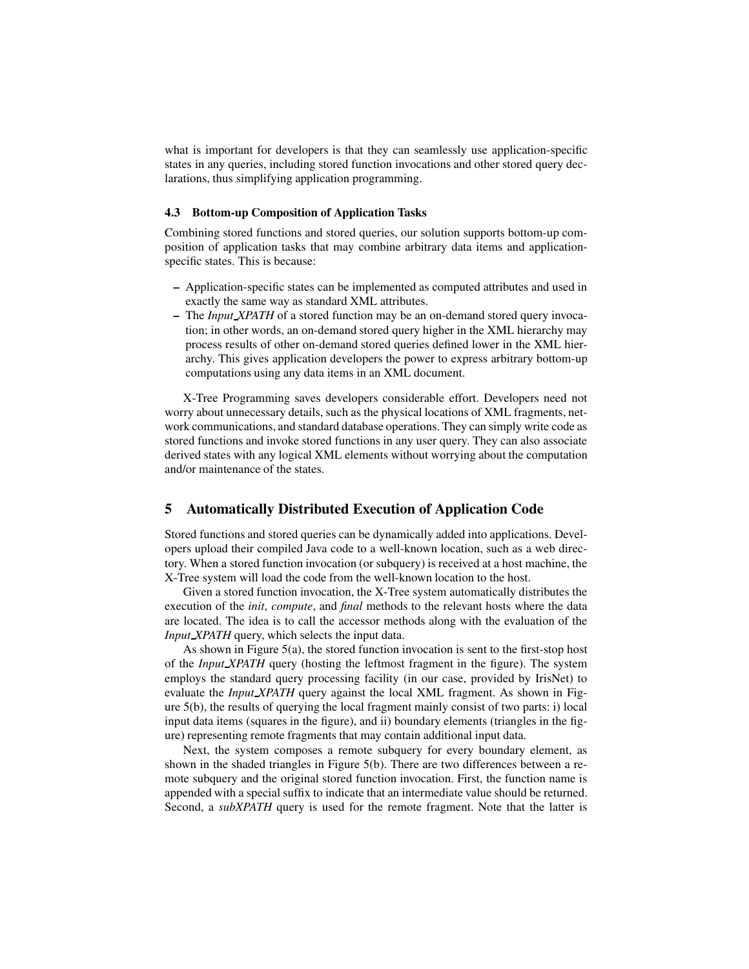what is important for developers is that they can seamlessly use application-specific states in any queries, including stored function invocations and other stored query declarations, thus simplifying application programming.

#### **4.3 Bottom-up Composition of Application Tasks**

Combining stored functions and stored queries, our solution supports bottom-up composition of application tasks that may combine arbitrary data items and applicationspecific states. This is because:

- **–** Application-specific states can be implemented as computed attributes and used in exactly the same way as standard XML attributes.
- **–** The *Input XPATH* of a stored function may be an on-demand stored query invocation; in other words, an on-demand stored query higher in the XML hierarchy may process results of other on-demand stored queries defined lower in the XML hierarchy. This gives application developers the power to express arbitrary bottom-up computations using any data items in an XML document.

X-Tree Programming saves developers considerable effort. Developers need not worry about unnecessary details, such as the physical locations of XML fragments, network communications, and standard database operations. They can simply write code as stored functions and invoke stored functions in any user query. They can also associate derived states with any logical XML elements without worrying about the computation and/or maintenance of the states.

### **5 Automatically Distributed Execution of Application Code**

Stored functions and stored queries can be dynamically added into applications. Developers upload their compiled Java code to a well-known location, such as a web directory. When a stored function invocation (or subquery) is received at a host machine, the X-Tree system will load the code from the well-known location to the host.

Given a stored function invocation, the X-Tree system automatically distributes the execution of the *init*, *compute*, and *final* methods to the relevant hosts where the data are located. The idea is to call the accessor methods along with the evaluation of the *Input XPATH* query, which selects the input data.

As shown in Figure 5(a), the stored function invocation is sent to the first-stop host of the *Input XPATH* query (hosting the leftmost fragment in the figure). The system employs the standard query processing facility (in our case, provided by IrisNet) to evaluate the *Input XPATH* query against the local XML fragment. As shown in Figure 5(b), the results of querying the local fragment mainly consist of two parts: i) local input data items (squares in the figure), and ii) boundary elements (triangles in the figure) representing remote fragments that may contain additional input data.

Next, the system composes a remote subquery for every boundary element, as shown in the shaded triangles in Figure 5(b). There are two differences between a remote subquery and the original stored function invocation. First, the function name is appended with a special suffix to indicate that an intermediate value should be returned. Second, a *subXPATH* query is used for the remote fragment. Note that the latter is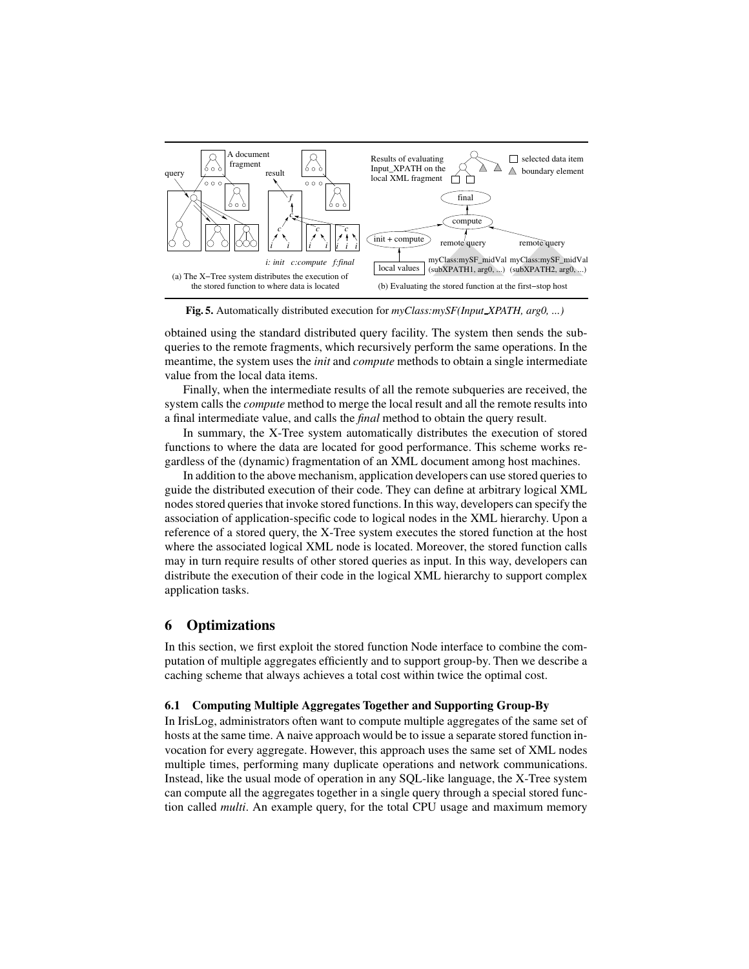

**Fig. 5.** Automatically distributed execution for *myClass:mySF(Input XPATH, arg0, ...)*

obtained using the standard distributed query facility. The system then sends the subqueries to the remote fragments, which recursively perform the same operations. In the meantime, the system uses the *init* and *compute* methods to obtain a single intermediate value from the local data items.

Finally, when the intermediate results of all the remote subqueries are received, the system calls the *compute* method to merge the local result and all the remote results into a final intermediate value, and calls the *final* method to obtain the query result.

In summary, the X-Tree system automatically distributes the execution of stored functions to where the data are located for good performance. This scheme works regardless of the (dynamic) fragmentation of an XML document among host machines.

In addition to the above mechanism, application developers can use stored queries to guide the distributed execution of their code. They can define at arbitrary logical XML nodes stored queries that invoke stored functions. In this way, developers can specify the association of application-specific code to logical nodes in the XML hierarchy. Upon a reference of a stored query, the X-Tree system executes the stored function at the host where the associated logical XML node is located. Moreover, the stored function calls may in turn require results of other stored queries as input. In this way, developers can distribute the execution of their code in the logical XML hierarchy to support complex application tasks.

# **6 Optimizations**

In this section, we first exploit the stored function Node interface to combine the computation of multiple aggregates efficiently and to support group-by. Then we describe a caching scheme that always achieves a total cost within twice the optimal cost.

### **6.1 Computing Multiple Aggregates Together and Supporting Group-By**

In IrisLog, administrators often want to compute multiple aggregates of the same set of hosts at the same time. A naive approach would be to issue a separate stored function invocation for every aggregate. However, this approach uses the same set of XML nodes multiple times, performing many duplicate operations and network communications. Instead, like the usual mode of operation in any SQL-like language, the X-Tree system can compute all the aggregates together in a single query through a special stored function called *multi*. An example query, for the total CPU usage and maximum memory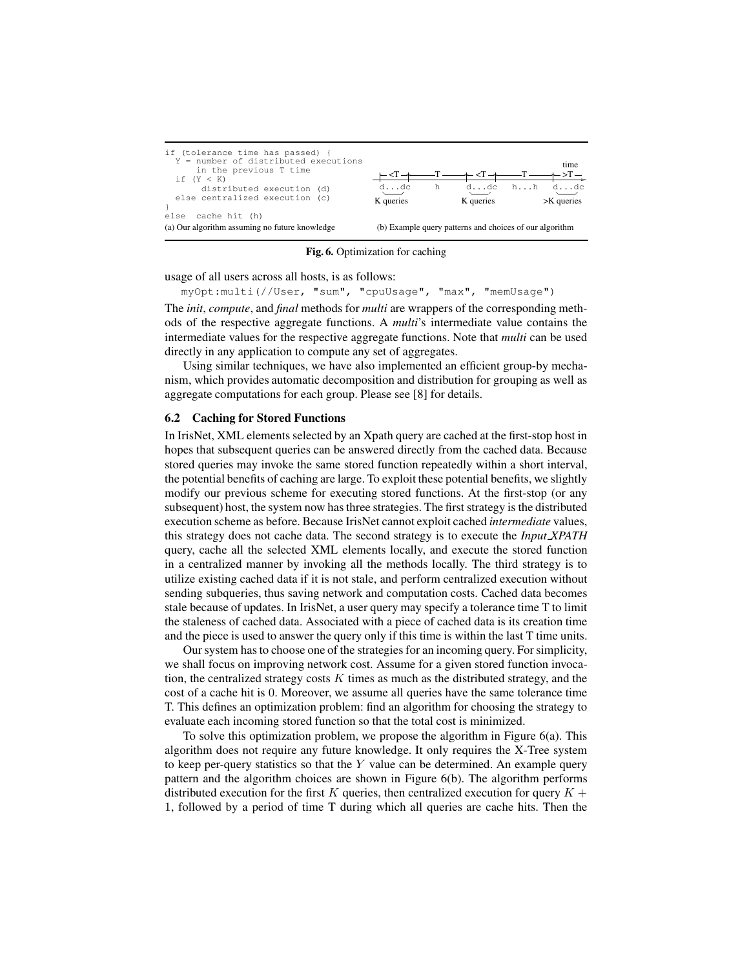| if (tolerance time has passed) {<br>Y = number of distributed executions<br>in the previous T time<br>if $(Y < K)$<br>distributed execution (d)<br>else centralized execution (c)<br>cache hit (h)<br>else | ddc<br>K queries                                        | h | ddc<br>K queries | hh | time<br>$\rightarrow$ T< $\rightarrow$<br>ddc<br>$>$ K queries |  |
|------------------------------------------------------------------------------------------------------------------------------------------------------------------------------------------------------------|---------------------------------------------------------|---|------------------|----|----------------------------------------------------------------|--|
| (a) Our algorithm assuming no future knowledge                                                                                                                                                             | (b) Example query patterns and choices of our algorithm |   |                  |    |                                                                |  |

**Fig. 6.** Optimization for caching

usage of all users across all hosts, is as follows:

myOpt:multi(//User, "sum", "cpuUsage", "max", "memUsage")

The *init*, *compute*, and *final* methods for *multi* are wrappers of the corresponding methods of the respective aggregate functions. A *multi*'s intermediate value contains the intermediate values for the respective aggregate functions. Note that *multi* can be used directly in any application to compute any set of aggregates.

Using similar techniques, we have also implemented an efficient group-by mechanism, which provides automatic decomposition and distribution for grouping as well as aggregate computations for each group. Please see [8] for details.

### **6.2 Caching for Stored Functions**

In IrisNet, XML elements selected by an Xpath query are cached at the first-stop host in hopes that subsequent queries can be answered directly from the cached data. Because stored queries may invoke the same stored function repeatedly within a short interval, the potential benefits of caching are large. To exploit these potential benefits, we slightly modify our previous scheme for executing stored functions. At the first-stop (or any subsequent) host, the system now has three strategies. The first strategy is the distributed execution scheme as before. Because IrisNet cannot exploit cached *intermediate* values, this strategy does not cache data. The second strategy is to execute the *Input XPATH* query, cache all the selected XML elements locally, and execute the stored function in a centralized manner by invoking all the methods locally. The third strategy is to utilize existing cached data if it is not stale, and perform centralized execution without sending subqueries, thus saving network and computation costs. Cached data becomes stale because of updates. In IrisNet, a user query may specify a tolerance time T to limit the staleness of cached data. Associated with a piece of cached data is its creation time and the piece is used to answer the query only if this time is within the last T time units.

Our system has to choose one of the strategies for an incoming query. For simplicity, we shall focus on improving network cost. Assume for a given stored function invocation, the centralized strategy costs  $K$  times as much as the distributed strategy, and the cost of a cache hit is 0. Moreover, we assume all queries have the same tolerance time T. This defines an optimization problem: find an algorithm for choosing the strategy to evaluate each incoming stored function so that the total cost is minimized.

To solve this optimization problem, we propose the algorithm in Figure  $6(a)$ . This algorithm does not require any future knowledge. It only requires the X-Tree system to keep per-query statistics so that the  $Y$  value can be determined. An example query pattern and the algorithm choices are shown in Figure 6(b). The algorithm performs distributed execution for the first K queries, then centralized execution for query  $K +$ 1, followed by a period of time T during which all queries are cache hits. Then the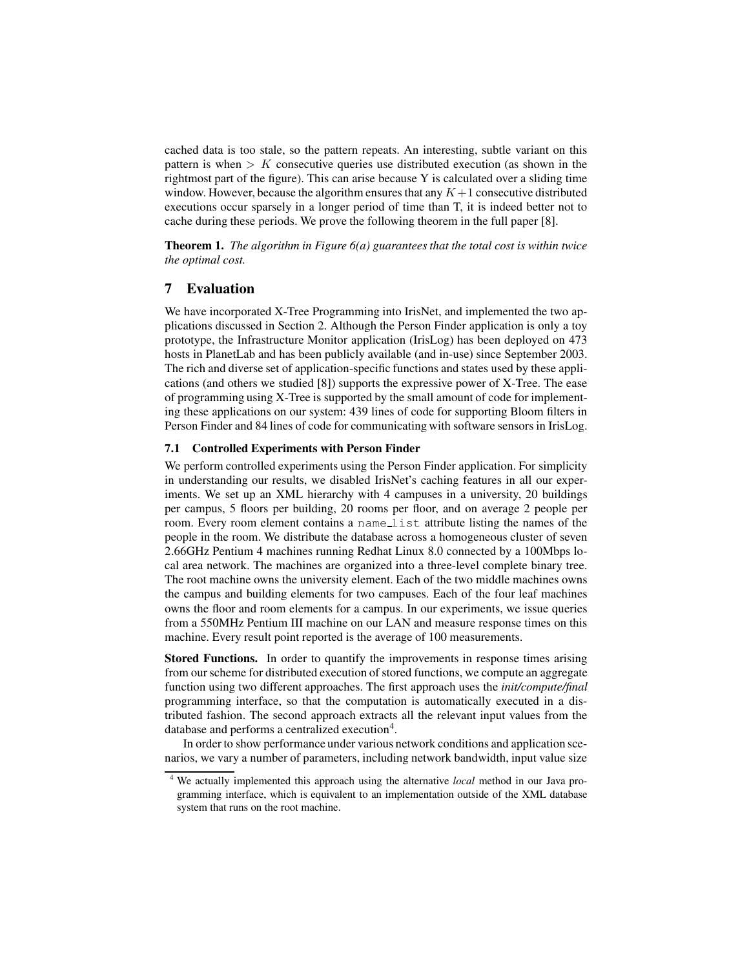cached data is too stale, so the pattern repeats. An interesting, subtle variant on this pattern is when  $> K$  consecutive queries use distributed execution (as shown in the rightmost part of the figure). This can arise because Y is calculated over a sliding time window. However, because the algorithm ensures that any  $K+1$  consecutive distributed executions occur sparsely in a longer period of time than T, it is indeed better not to cache during these periods. We prove the following theorem in the full paper [8].

**Theorem 1.** *The algorithm in Figure 6(a) guarantees that the total cost is within twice the optimal cost.*

# **7 Evaluation**

We have incorporated X-Tree Programming into IrisNet, and implemented the two applications discussed in Section 2. Although the Person Finder application is only a toy prototype, the Infrastructure Monitor application (IrisLog) has been deployed on 473 hosts in PlanetLab and has been publicly available (and in-use) since September 2003. The rich and diverse set of application-specific functions and states used by these applications (and others we studied [8]) supports the expressive power of X-Tree. The ease of programming using X-Tree is supported by the small amount of code for implementing these applications on our system: 439 lines of code for supporting Bloom filters in Person Finder and 84 lines of code for communicating with software sensors in IrisLog.

### **7.1 Controlled Experiments with Person Finder**

We perform controlled experiments using the Person Finder application. For simplicity in understanding our results, we disabled IrisNet's caching features in all our experiments. We set up an XML hierarchy with 4 campuses in a university, 20 buildings per campus, 5 floors per building, 20 rooms per floor, and on average 2 people per room. Every room element contains a name list attribute listing the names of the people in the room. We distribute the database across a homogeneous cluster of seven 2.66GHz Pentium 4 machines running Redhat Linux 8.0 connected by a 100Mbps local area network. The machines are organized into a three-level complete binary tree. The root machine owns the university element. Each of the two middle machines owns the campus and building elements for two campuses. Each of the four leaf machines owns the floor and room elements for a campus. In our experiments, we issue queries from a 550MHz Pentium III machine on our LAN and measure response times on this machine. Every result point reported is the average of 100 measurements.

**Stored Functions.** In order to quantify the improvements in response times arising from ourscheme for distributed execution of stored functions, we compute an aggregate function using two different approaches. The first approach uses the *init/compute/final* programming interface, so that the computation is automatically executed in a distributed fashion. The second approach extracts all the relevant input values from the database and performs a centralized execution<sup>4</sup>.

In order to show performance under various network conditions and application scenarios, we vary a number of parameters, including network bandwidth, input value size

<sup>4</sup> We actually implemented this approach using the alternative *local* method in our Java programming interface, which is equivalent to an implementation outside of the XML database system that runs on the root machine.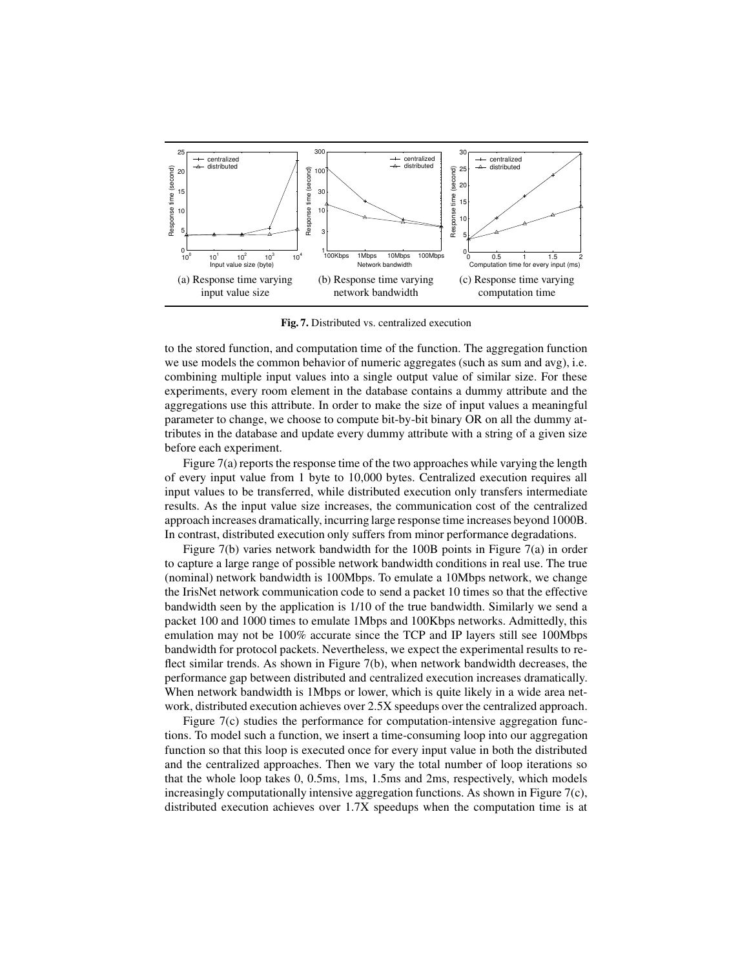

**Fig. 7.** Distributed vs. centralized execution

to the stored function, and computation time of the function. The aggregation function we use models the common behavior of numeric aggregates (such as sum and avg), i.e. combining multiple input values into a single output value of similar size. For these experiments, every room element in the database contains a dummy attribute and the aggregations use this attribute. In order to make the size of input values a meaningful parameter to change, we choose to compute bit-by-bit binary OR on all the dummy attributes in the database and update every dummy attribute with a string of a given size before each experiment.

Figure 7(a) reports the response time of the two approaches while varying the length of every input value from 1 byte to 10,000 bytes. Centralized execution requires all input values to be transferred, while distributed execution only transfers intermediate results. As the input value size increases, the communication cost of the centralized approach increases dramatically, incurring large response time increases beyond 1000B. In contrast, distributed execution only suffers from minor performance degradations.

Figure 7(b) varies network bandwidth for the 100B points in Figure 7(a) in order to capture a large range of possible network bandwidth conditions in real use. The true (nominal) network bandwidth is 100Mbps. To emulate a 10Mbps network, we change the IrisNet network communication code to send a packet 10 times so that the effective bandwidth seen by the application is 1/10 of the true bandwidth. Similarly we send a packet 100 and 1000 times to emulate 1Mbps and 100Kbps networks. Admittedly, this emulation may not be 100% accurate since the TCP and IP layers still see 100Mbps bandwidth for protocol packets. Nevertheless, we expect the experimental results to reflect similar trends. As shown in Figure 7(b), when network bandwidth decreases, the performance gap between distributed and centralized execution increases dramatically. When network bandwidth is 1Mbps or lower, which is quite likely in a wide area network, distributed execution achieves over 2.5X speedups over the centralized approach.

Figure 7(c) studies the performance for computation-intensive aggregation functions. To model such a function, we insert a time-consuming loop into our aggregation function so that this loop is executed once for every input value in both the distributed and the centralized approaches. Then we vary the total number of loop iterations so that the whole loop takes 0, 0.5ms, 1ms, 1.5ms and 2ms, respectively, which models increasingly computationally intensive aggregation functions. As shown in Figure 7(c), distributed execution achieves over 1.7X speedups when the computation time is at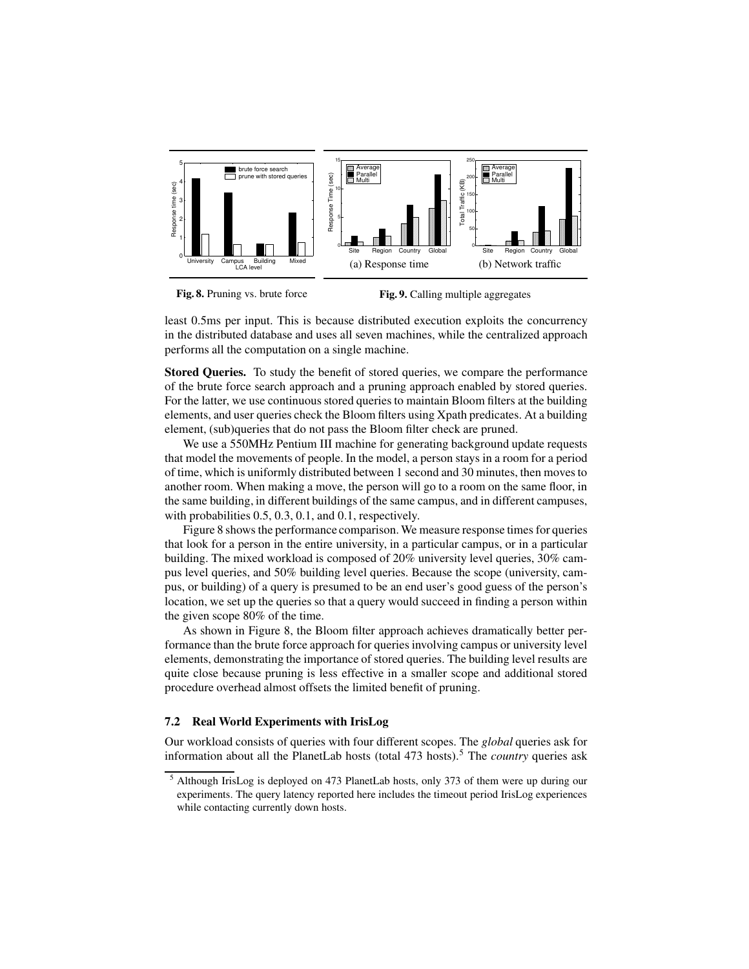

**Fig. 8.** Pruning vs. brute force **Fig. 9.** Calling multiple aggregates

least 0.5ms per input. This is because distributed execution exploits the concurrency in the distributed database and uses all seven machines, while the centralized approach performs all the computation on a single machine.

**Stored Queries.** To study the benefit of stored queries, we compare the performance of the brute force search approach and a pruning approach enabled by stored queries. For the latter, we use continuous stored queries to maintain Bloom filters at the building elements, and user queries check the Bloom filters using Xpath predicates. At a building element, (sub)queries that do not pass the Bloom filter check are pruned.

We use a 550MHz Pentium III machine for generating background update requests that model the movements of people. In the model, a person stays in a room for a period of time, which is uniformly distributed between 1 second and 30 minutes, then movesto another room. When making a move, the person will go to a room on the same floor, in the same building, in different buildings of the same campus, and in different campuses, with probabilities 0.5, 0.3, 0.1, and 0.1, respectively.

Figure 8 shows the performance comparison. We measure response times for queries that look for a person in the entire university, in a particular campus, or in a particular building. The mixed workload is composed of 20% university level queries, 30% campus level queries, and 50% building level queries. Because the scope (university, campus, or building) of a query is presumed to be an end user's good guess of the person's location, we set up the queries so that a query would succeed in finding a person within the given scope 80% of the time.

As shown in Figure 8, the Bloom filter approach achieves dramatically better performance than the brute force approach for queries involving campus or university level elements, demonstrating the importance of stored queries. The building level results are quite close because pruning is less effective in a smaller scope and additional stored procedure overhead almost offsets the limited benefit of pruning.

### **7.2 Real World Experiments with IrisLog**

Our workload consists of queries with four different scopes. The *global* queries ask for information about all the PlanetLab hosts (total  $473$  hosts).<sup>5</sup> The *country* queries ask

<sup>5</sup> Although IrisLog is deployed on 473 PlanetLab hosts, only 373 of them were up during our experiments. The query latency reported here includes the timeout period IrisLog experiences while contacting currently down hosts.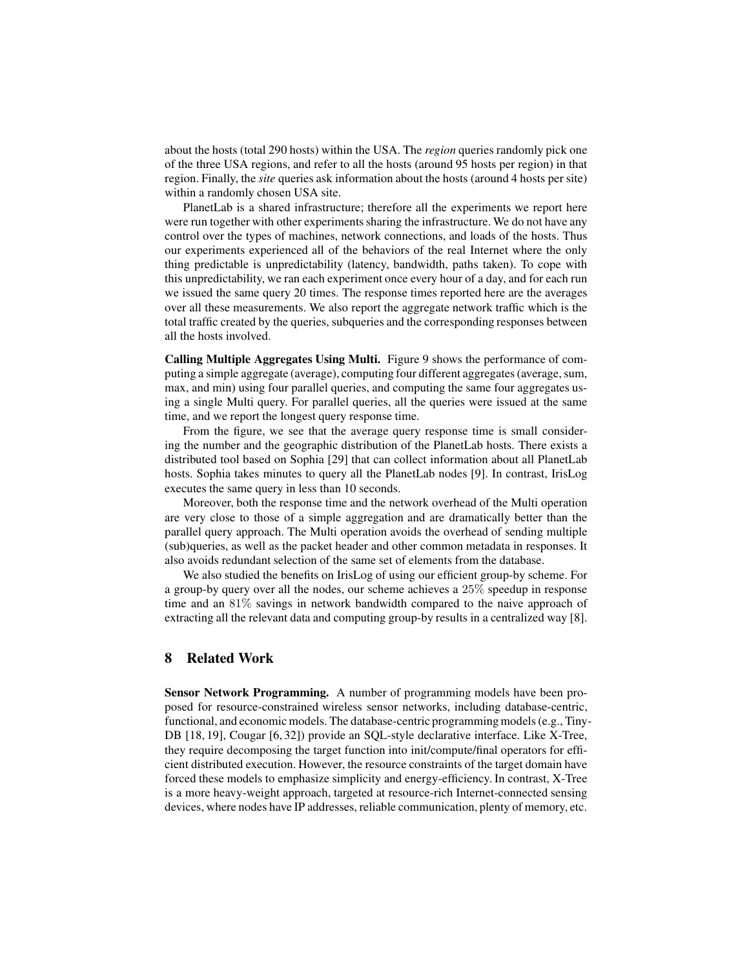about the hosts (total 290 hosts) within the USA. The *region* queries randomly pick one of the three USA regions, and refer to all the hosts (around 95 hosts per region) in that region. Finally, the *site* queries ask information about the hosts (around 4 hosts per site) within a randomly chosen USA site.

PlanetLab is a shared infrastructure; therefore all the experiments we report here were run together with other experiments sharing the infrastructure. We do not have any control over the types of machines, network connections, and loads of the hosts. Thus our experiments experienced all of the behaviors of the real Internet where the only thing predictable is unpredictability (latency, bandwidth, paths taken). To cope with this unpredictability, we ran each experiment once every hour of a day, and for each run we issued the same query 20 times. The response times reported here are the averages over all these measurements. We also report the aggregate network traffic which is the total traffic created by the queries, subqueries and the corresponding responses between all the hosts involved.

**Calling Multiple Aggregates Using Multi.** Figure 9 shows the performance of computing a simple aggregate (average), computing four different aggregates(average,sum, max, and min) using four parallel queries, and computing the same four aggregates using a single Multi query. For parallel queries, all the queries were issued at the same time, and we report the longest query response time.

From the figure, we see that the average query response time is small considering the number and the geographic distribution of the PlanetLab hosts. There exists a distributed tool based on Sophia [29] that can collect information about all PlanetLab hosts. Sophia takes minutes to query all the PlanetLab nodes [9]. In contrast, IrisLog executes the same query in less than 10 seconds.

Moreover, both the response time and the network overhead of the Multi operation are very close to those of a simple aggregation and are dramatically better than the parallel query approach. The Multi operation avoids the overhead of sending multiple (sub)queries, as well as the packet header and other common metadata in responses. It also avoids redundant selection of the same set of elements from the database.

We also studied the benefits on IrisLog of using our efficient group-by scheme. For a group-by query over all the nodes, our scheme achieves a 25% speedup in response time and an 81% savings in network bandwidth compared to the naive approach of extracting all the relevant data and computing group-by results in a centralized way [8].

# **8 Related Work**

**Sensor Network Programming.** A number of programming models have been proposed for resource-constrained wireless sensor networks, including database-centric, functional, and economic models. The database-centric programming models (e.g., Tiny-DB [18, 19], Cougar [6, 32]) provide an SQL-style declarative interface. Like X-Tree, they require decomposing the target function into init/compute/final operators for efficient distributed execution. However, the resource constraints of the target domain have forced these models to emphasize simplicity and energy-efficiency. In contrast, X-Tree is a more heavy-weight approach, targeted at resource-rich Internet-connected sensing devices, where nodes have IP addresses, reliable communication, plenty of memory, etc.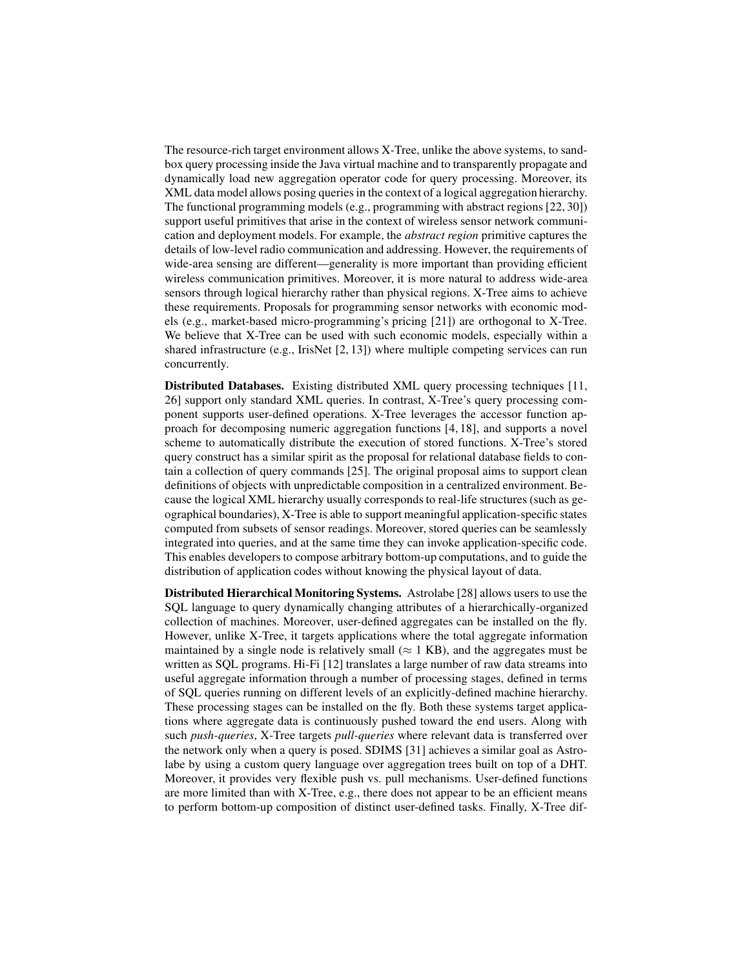The resource-rich target environment allows X-Tree, unlike the above systems, to sandbox query processing inside the Java virtual machine and to transparently propagate and dynamically load new aggregation operator code for query processing. Moreover, its XML data model allows posing queries in the context of a logical aggregation hierarchy. The functional programming models (e.g., programming with abstract regions [22, 30]) support useful primitives that arise in the context of wireless sensor network communication and deployment models. For example, the *abstract region* primitive captures the details of low-level radio communication and addressing. However, the requirements of wide-area sensing are different—generality is more important than providing efficient wireless communication primitives. Moreover, it is more natural to address wide-area sensors through logical hierarchy rather than physical regions. X-Tree aims to achieve these requirements. Proposals for programming sensor networks with economic models (e.g., market-based micro-programming's pricing [21]) are orthogonal to X-Tree. We believe that X-Tree can be used with such economic models, especially within a shared infrastructure (e.g., IrisNet [2, 13]) where multiple competing services can run concurrently.

**Distributed Databases.** Existing distributed XML query processing techniques [11, 26] support only standard XML queries. In contrast, X-Tree's query processing component supports user-defined operations. X-Tree leverages the accessor function approach for decomposing numeric aggregation functions [4, 18], and supports a novel scheme to automatically distribute the execution of stored functions. X-Tree's stored query construct has a similar spirit as the proposal for relational database fields to contain a collection of query commands [25]. The original proposal aims to support clean definitions of objects with unpredictable composition in a centralized environment. Because the logical XML hierarchy usually corresponds to real-life structures (such as geographical boundaries), X-Tree is able to support meaningful application-specific states computed from subsets of sensor readings. Moreover, stored queries can be seamlessly integrated into queries, and at the same time they can invoke application-specific code. This enables developers to compose arbitrary bottom-up computations, and to guide the distribution of application codes without knowing the physical layout of data.

**Distributed Hierarchical Monitoring Systems.** Astrolabe [28] allows users to use the SQL language to query dynamically changing attributes of a hierarchically-organized collection of machines. Moreover, user-defined aggregates can be installed on the fly. However, unlike X-Tree, it targets applications where the total aggregate information maintained by a single node is relatively small ( $\approx$  1 KB), and the aggregates must be written as SQL programs. Hi-Fi [12] translates a large number of raw data streams into useful aggregate information through a number of processing stages, defined in terms of SQL queries running on different levels of an explicitly-defined machine hierarchy. These processing stages can be installed on the fly. Both these systems target applications where aggregate data is continuously pushed toward the end users. Along with such *push-queries*, X-Tree targets *pull-queries* where relevant data is transferred over the network only when a query is posed. SDIMS [31] achieves a similar goal as Astrolabe by using a custom query language over aggregation trees built on top of a DHT. Moreover, it provides very flexible push vs. pull mechanisms. User-defined functions are more limited than with X-Tree, e.g., there does not appear to be an efficient means to perform bottom-up composition of distinct user-defined tasks. Finally, X-Tree dif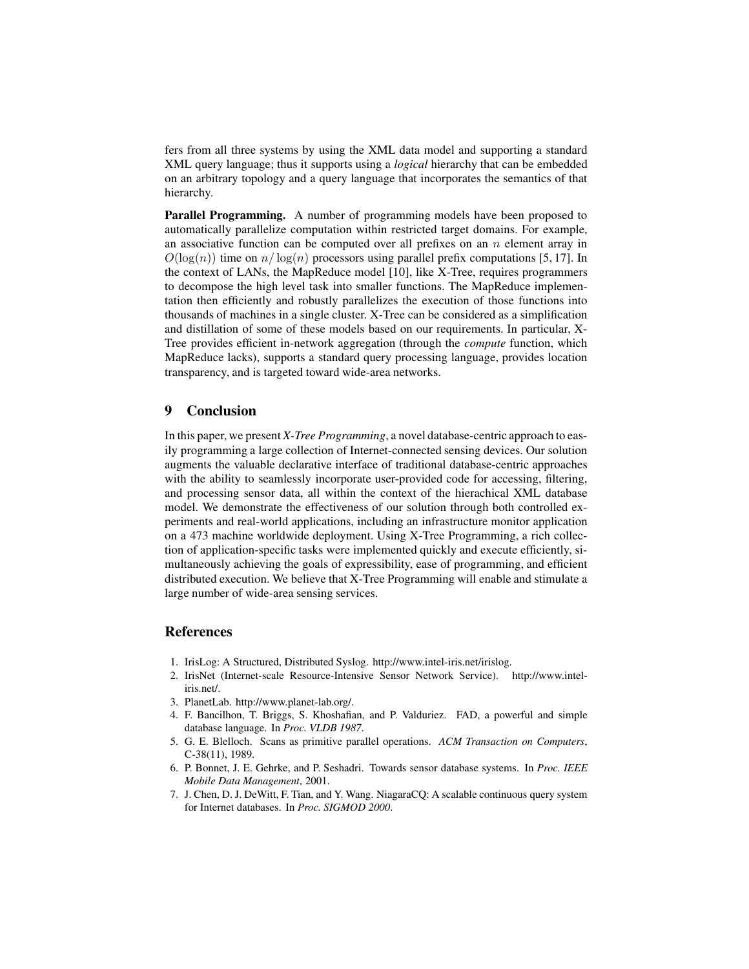fers from all three systems by using the XML data model and supporting a standard XML query language; thus it supports using a *logical* hierarchy that can be embedded on an arbitrary topology and a query language that incorporates the semantics of that hierarchy.

**Parallel Programming.** A number of programming models have been proposed to automatically parallelize computation within restricted target domains. For example, an associative function can be computed over all prefixes on an  $n$  element array in  $O(\log(n))$  time on  $n/\log(n)$  processors using parallel prefix computations [5, 17]. In the context of LANs, the MapReduce model [10], like X-Tree, requires programmers to decompose the high level task into smaller functions. The MapReduce implementation then efficiently and robustly parallelizes the execution of those functions into thousands of machines in a single cluster. X-Tree can be considered as a simplification and distillation of some of these models based on our requirements. In particular, X-Tree provides efficient in-network aggregation (through the *compute* function, which MapReduce lacks), supports a standard query processing language, provides location transparency, and is targeted toward wide-area networks.

# **9 Conclusion**

In this paper, we present *X-Tree Programming*, a novel database-centric approach to easily programming a large collection of Internet-connected sensing devices. Our solution augments the valuable declarative interface of traditional database-centric approaches with the ability to seamlessly incorporate user-provided code for accessing, filtering, and processing sensor data, all within the context of the hierachical XML database model. We demonstrate the effectiveness of our solution through both controlled experiments and real-world applications, including an infrastructure monitor application on a 473 machine worldwide deployment. Using X-Tree Programming, a rich collection of application-specific tasks were implemented quickly and execute efficiently, simultaneously achieving the goals of expressibility, ease of programming, and efficient distributed execution. We believe that X-Tree Programming will enable and stimulate a large number of wide-area sensing services.

### **References**

- 1. IrisLog: A Structured, Distributed Syslog. http://www.intel-iris.net/irislog.
- 2. IrisNet (Internet-scale Resource-Intensive Sensor Network Service). http://www.inteliris.net/.
- 3. PlanetLab. http://www.planet-lab.org/.
- 4. F. Bancilhon, T. Briggs, S. Khoshafian, and P. Valduriez. FAD, a powerful and simple database language. In *Proc. VLDB 1987*.
- 5. G. E. Blelloch. Scans as primitive parallel operations. *ACM Transaction on Computers*, C-38(11), 1989.
- 6. P. Bonnet, J. E. Gehrke, and P. Seshadri. Towards sensor database systems. In *Proc. IEEE Mobile Data Management*, 2001.
- 7. J. Chen, D. J. DeWitt, F. Tian, and Y. Wang. NiagaraCQ: A scalable continuous query system for Internet databases. In *Proc. SIGMOD 2000*.